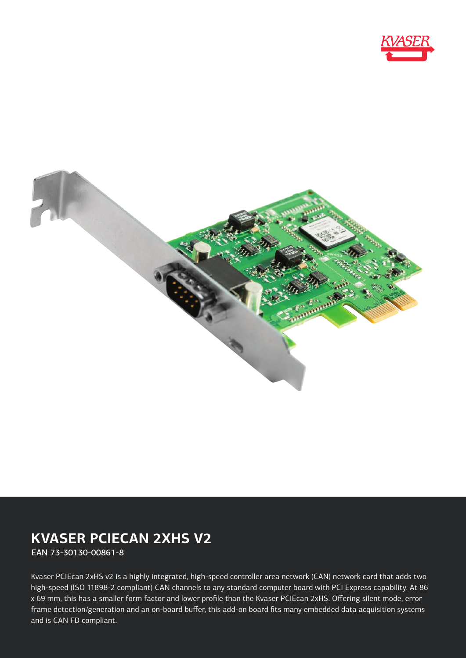



# **KVASER PCIECAN 2XHS V2**

EAN 73-30130-00861-8

Kvaser PCIEcan 2xHS v2 is a highly integrated, high-speed controller area network (CAN) network card that adds two high-speed (ISO 11898-2 compliant) CAN channels to any standard computer board with PCI Express capability. At 86 x 69 mm, this has a smaller form factor and lower profile than the Kvaser PCIEcan 2xHS. Offering silent mode, error frame detection/generation and an on-board buffer, this add-on board fits many embedded data acquisition systems and is CAN FD compliant.